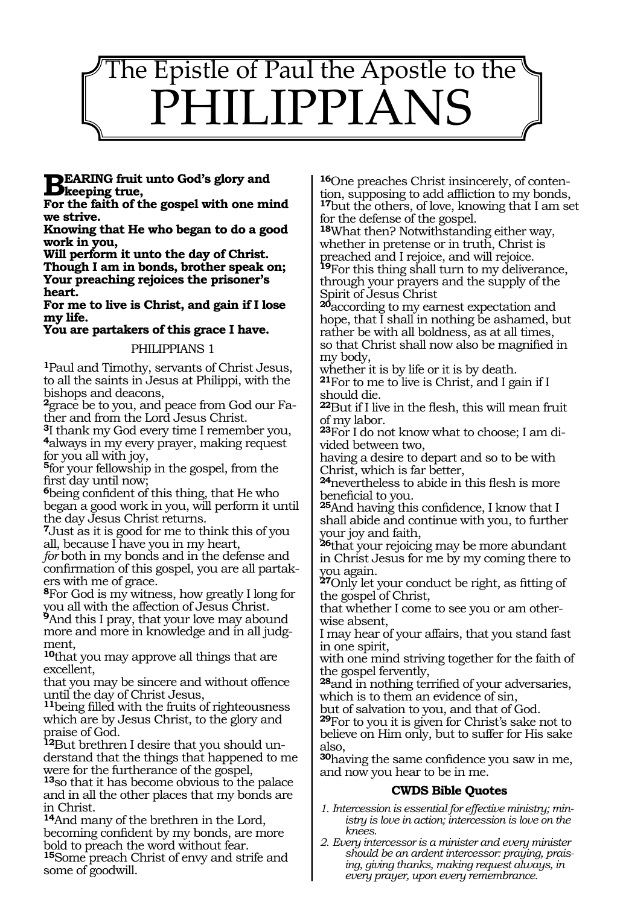

# **BEARING fruit unto God's glory and**<br> **Eas the frith of the group!** with ane with

**For the faith of the gospel with one mind we strive.**

**Knowing that He who began to do a good work in you,**

**Will perform it unto the day of Christ. Though I am in bonds, brother speak on; Your preaching rejoices the prisoner's heart.**

**For me to live is Christ, and gain if I lose my life.**

**You are partakers of this grace I have.**

#### PHILIPPIANS 1

**<sup>1</sup>**Paul and Timothy, servants of Christ Jesus, to all the saints in Jesus at Philippi, with the bishops and deacons,

**2**grace be to you, and peace from God our Father and from the Lord Jesus Christ.

**<sup>3</sup>**I thank my God every time I remember you, **<sup>4</sup>**always in my every prayer, making request for you all with joy,

**<sup>5</sup>**for your fellowship in the gospel, from the first day until now;

**<sup>6</sup>**being confident of this thing, that He who began a good work in you, will perform it until the day Jesus Christ returns.

**<sup>7</sup>**Just as it is good for me to think this of you all, because I have you in my heart,

*for* both in my bonds and in the defense and confirmation of this gospel, you are all partakers with me of grace.

**<sup>8</sup>**For God is my witness, how greatly I long for you all with the affection of Jesus Christ.

**<sup>9</sup>**And this I pray, that your love may abound more and more in knowledge and in all judgment,

**<sup>10</sup>**that you may approve all things that are excellent,

that you may be sincere and without offence until the day of Christ Jesus,

**<sup>11</sup>**being filled with the fruits of righteousness which are by Jesus Christ, to the glory and praise of God.

**12**But brethren I desire that you should understand that the things that happened to me were for the furtherance of the gospel,

**<sup>13</sup>**so that it has become obvious to the palace and in all the other places that my bonds are in Christ.

**<sup>14</sup>**And many of the brethren in the Lord, becoming confident by my bonds, are more bold to preach the word without fear.

**<sup>15</sup>**Some preach Christ of envy and strife and some of goodwill.

**16**One preaches Christ insincerely, of contention, supposing to add affliction to my bonds, **<sup>17</sup>**but the others, of love, knowing that I am set for the defense of the gospel.

**<sup>18</sup>**What then? Notwithstanding either way, whether in pretense or in truth, Christ is preached and I rejoice, and will rejoice. **<sup>19</sup>**For this thing shall turn to my deliverance, through your prayers and the supply of the Spirit of Jesus Christ

**<sup>20</sup>**according to my earnest expectation and hope, that I shall in nothing be ashamed, but rather be with all boldness, as at all times, so that Christ shall now also be magnified in my body,

whether it is by life or it is by death.

**<sup>21</sup>**For to me to live is Christ, and I gain if I should die.

**<sup>22</sup>**But if I live in the flesh, this will mean fruit of my labor.

**23**For I do not know what to choose; I am divided between two,

having a desire to depart and so to be with Christ, which is far better,

**<sup>24</sup>**nevertheless to abide in this flesh is more beneficial to you.

**<sup>25</sup>**And having this confidence, I know that I shall abide and continue with you, to further your joy and faith,

**<sup>26</sup>**that your rejoicing may be more abundant in Christ Jesus for me by my coming there to you again.

**<sup>27</sup>**Only let your conduct be right, as fitting of the gospel of Christ,

that whether I come to see you or am otherwise absent,

I may hear of your affairs, that you stand fast in one spirit,

with one mind striving together for the faith of the gospel fervently,

**<sup>28</sup>**and in nothing terrified of your adversaries, which is to them an evidence of sin,

but of salvation to you, and that of God.

**<sup>29</sup>**For to you it is given for Christ's sake not to believe on Him only, but to suffer for His sake also,

**<sup>30</sup>**having the same confidence you saw in me, and now you hear to be in me.

#### **CWDS Bible Quotes**

- *1. Intercession is essential for effective ministry; ministry is love in action; intercession is love on the knees.*
- *2. Every intercessor is a minister and every minister should be an ardent intercessor: praying, praising, giving thanks, making request always, in every prayer, upon every remembrance.*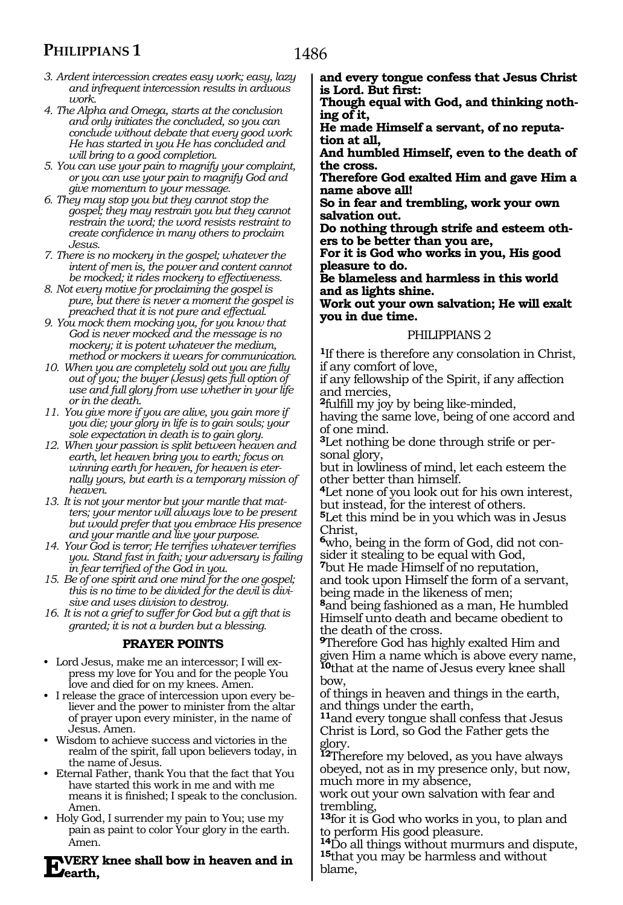# **PHILIPPIANS 1**

- *3. Ardent intercession creates easy work; easy, lazy and infrequent intercession results in arduous work.*
- *4. The Alpha and Omega, starts at the conclusion and only initiates the concluded, so you can conclude without debate that every good work He has started in you He has concluded and will bring to a good completion.*
- *5. You can use your pain to magnify your complaint, or you can use your pain to magnify God and give momentum to your message.*
- *6. They may stop you but they cannot stop the gospel; they may restrain you but they cannot restrain the word; the word resists restraint to create confidence in many others to proclaim Jesus.*
- *7. There is no mockery in the gospel; whatever the intent of men is, the power and content cannot be mocked; it rides mockery to effectiveness.*
- *8. Not every motive for proclaiming the gospel is pure, but there is never a moment the gospel is preached that it is not pure and effectual.*
- *9. You mock them mocking you, for you know that God is never mocked and the message is no mockery; it is potent whatever the medium, method or mockers it wears for communication.*
- *10. When you are completely sold out you are fully out of you; the buyer (Jesus) gets full option of use and full glory from use whether in your life or in the death.*
- *11. You give more if you are alive, you gain more if you die; your glory in life is to gain souls; your sole expectation in death is to gain glory.*
- *12. When your passion is split between heaven and earth, let heaven bring you to earth; focus on winning earth for heaven, for heaven is eternally yours, but earth is a temporary mission of heaven.*
- *13. It is not your mentor but your mantle that matters; your mentor will always love to be present but would prefer that you embrace His presence and your mantle and live your purpose.*
- *14. Your God is terror; He terrifies whatever terrifies you. Stand fast in faith; your adversary is failing in fear terrified of the God in you.*
- *15. Be of one spirit and one mind for the one gospel; this is no time to be divided for the devil is divisive and uses division to destroy.*
- *16. It is not a grief to suffer for God but a gift that is granted; it is not a burden but a blessing.*

#### **PRAYER POINTS**

- Lord Jesus, make me an intercessor; I will express my love for You and for the people You love and died for on my knees. Amen.
- I release the grace of intercession upon every believer and the power to minister from the altar of prayer upon every minister, in the name of Jesus. Amen.
- Wisdom to achieve success and victories in the realm of the spirit, fall upon believers today, in the name of Jesus.
- Eternal Father, thank You that the fact that You have started this work in me and with me means it is finished; I speak to the conclusion. Amen.
- Holy God, I surrender my pain to You; use my pain as paint to color Your glory in the earth. Amen.

**Every knee shall bow in heaven and in earth,**

**and every tongue confess that Jesus Christ is Lord. But first:**

**Though equal with God, and thinking nothing of it,**

**He made Himself a servant, of no reputation at all,**

**And humbled Himself, even to the death of the cross.**

**Therefore God exalted Him and gave Him a name above all!**

**So in fear and trembling, work your own salvation out.**

**Do nothing through strife and esteem others to be better than you are,**

**For it is God who works in you, His good pleasure to do.**

**Be blameless and harmless in this world and as lights shine.**

**Work out your own salvation; He will exalt you in due time.** 

#### PHILIPPIANS 2

**<sup>1</sup>**If there is therefore any consolation in Christ, if any comfort of love,

if any fellowship of the Spirit, if any affection and mercies,

**<sup>2</sup>**fulfill my joy by being like-minded,

having the same love, being of one accord and of one mind.

**3**Let nothing be done through strife or personal glory,

but in lowliness of mind, let each esteem the other better than himself.

**<sup>4</sup>**Let none of you look out for his own interest, but instead, for the interest of others.

**<sup>5</sup>**Let this mind be in you which was in Jesus Christ,

**6**who, being in the form of God, did not consider it stealing to be equal with God,

**<sup>7</sup>**but He made Himself of no reputation, and took upon Himself the form of a servant, being made in the likeness of men;

**<sup>8</sup>**and being fashioned as a man, He humbled Himself unto death and became obedient to the death of the cross.

**<sup>9</sup>**Therefore God has highly exalted Him and given Him a name which is above every name, **<sup>10</sup>**that at the name of Jesus every knee shall bow,

of things in heaven and things in the earth, and things under the earth,

**<sup>11</sup>**and every tongue shall confess that Jesus Christ is Lord, so God the Father gets the glory.

**<sup>12</sup>**Therefore my beloved, as you have always obeyed, not as in my presence only, but now, much more in my absence,

work out your own salvation with fear and trembling,

**<sup>13</sup>**for it is God who works in you, to plan and to perform His good pleasure.

**<sup>14</sup>**Do all things without murmurs and dispute, **<sup>15</sup>**that you may be harmless and without blame,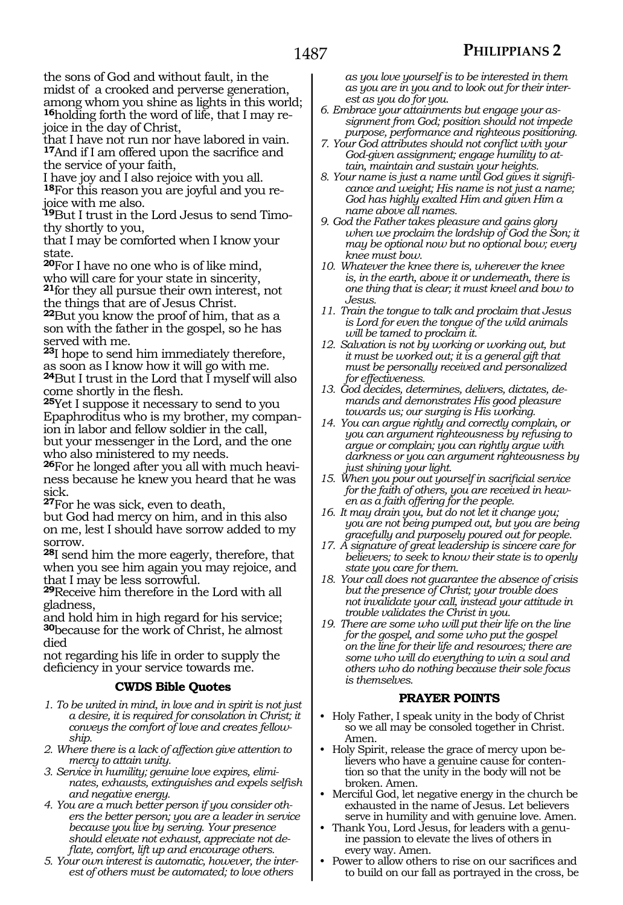the sons of God and without fault, in the midst of a crooked and perverse generation, among whom you shine as lights in this world; **16**holding forth the word of life, that I may rejoice in the day of Christ,

that I have not run nor have labored in vain. **<sup>17</sup>**And if I am offered upon the sacrifice and the service of your faith,

I have joy and I also rejoice with you all. **<sup>18</sup>**For this reason you are joyful and you re- joice with me also.

**<sup>19</sup>**But I trust in the Lord Jesus to send Timo- thy shortly to you,

that I may be comforted when I know your state.

**<sup>20</sup>**For I have no one who is of like mind, who will care for your state in sincerity, **<sup>21</sup>**for they all pursue their own interest, not

the things that are of Jesus Christ.

**<sup>22</sup>**But you know the proof of him, that as a son with the father in the gospel, so he has served with me.

**<sup>23</sup>**I hope to send him immediately therefore, as soon as I know how it will go with me. **<sup>24</sup>**But I trust in the Lord that I myself will also come shortly in the flesh.

**<sup>25</sup>**Yet I suppose it necessary to send to you Epaphroditus who is my brother, my companion in labor and fellow soldier in the call, but your messenger in the Lord, and the one who also ministered to my needs.

**26**For he longed after you all with much heaviness because he knew you heard that he was sick.

**<sup>27</sup>**For he was sick, even to death,

but God had mercy on him, and in this also on me, lest I should have sorrow added to my sorrow.

**<sup>28</sup>**I send him the more eagerly, therefore, that when you see him again you may rejoice, and that I may be less sorrowful.

**<sup>29</sup>**Receive him therefore in the Lord with all gladness,

and hold him in high regard for his service; **<sup>30</sup>**because for the work of Christ, he almost died

not regarding his life in order to supply the deficiency in your service towards me.

#### **CWDS Bible Quotes**

- *1. To be united in mind, in love and in spirit is not just a desire, it is required for consolation in Christ; it conveys the comfort of love and creates fellowship.*
- *2. Where there is a lack of affection give attention to mercy to attain unity.*
- *3. Service in humility; genuine love expires, eliminates, exhausts, extinguishes and expels selfish and negative energy.*
- *4. You are a much better person if you consider others the better person; you are a leader in service because you live by serving. Your presence should elevate not exhaust, appreciate not deflate, comfort, lift up and encourage others.*
- *5. Your own interest is automatic, however, the interest of others must be automated; to love others*

*as you love yourself is to be interested in them as you are in you and to look out for their interest as you do for you.*

- *6. Embrace your attainments but engage your assignment from God; position should not impede purpose, performance and righteous positioning.*
- *7. Your God attributes should not conflict with your God-given assignment; engage humility to attain, maintain and sustain your heights.*
- *8. Your name is just a name until God gives it significance and weight; His name is not just a name; God has highly exalted Him and given Him a name above all names.*
- *9. God the Father takes pleasure and gains glory when we proclaim the lordship of God the Son; it may be optional now but no optional bow; every knee must bow.*
- *10. Whatever the knee there is, wherever the knee is, in the earth, above it or underneath, there is one thing that is clear; it must kneel and bow to Jesus.*
- *11. Train the tongue to talk and proclaim that Jesus is Lord for even the tongue of the wild animals will be tamed to proclaim it.*
- *12. Salvation is not by working or working out, but it must be worked out; it is a general gift that must be personally received and personalized for effectiveness.*
- *13. God decides, determines, delivers, dictates, demands and demonstrates His good pleasure towards us; our surging is His working.*
- *14. You can argue rightly and correctly complain, or you can argument righteousness by refusing to argue or complain; you can rightly argue with darkness or you can argument righteousness by just shining your light.*
- *15. When you pour out yourself in sacrificial service for the faith of others, you are received in heaven as a faith offering for the people.*
- *16. It may drain you, but do not let it change you; you are not being pumped out, but you are being gracefully and purposely poured out for people.*
- *17. A signature of great leadership is sincere care for believers; to seek to know their state is to openly state you care for them.*
- *18. Your call does not guarantee the absence of crisis but the presence of Christ; your trouble does not invalidate your call, instead your attitude in trouble validates the Christ in you.*
- *19. There are some who will put their life on the line for the gospel, and some who put the gospel on the line for their life and resources; there are some who will do everything to win a soul and others who do nothing because their sole focus is themselves.*

## **PRAYER POINTS**

- Holy Father, I speak unity in the body of Christ so we all may be consoled together in Christ. Amen.
- Holy Spirit, release the grace of mercy upon believers who have a genuine cause for contention so that the unity in the body will not be broken. Amen.
- Merciful God, let negative energy in the church be exhausted in the name of Jesus. Let believers serve in humility and with genuine love. Amen.
- Thank You, Lord Jesus, for leaders with a genuine passion to elevate the lives of others in every way. Amen.
- Power to allow others to rise on our sacrifices and to build on our fall as portrayed in the cross, be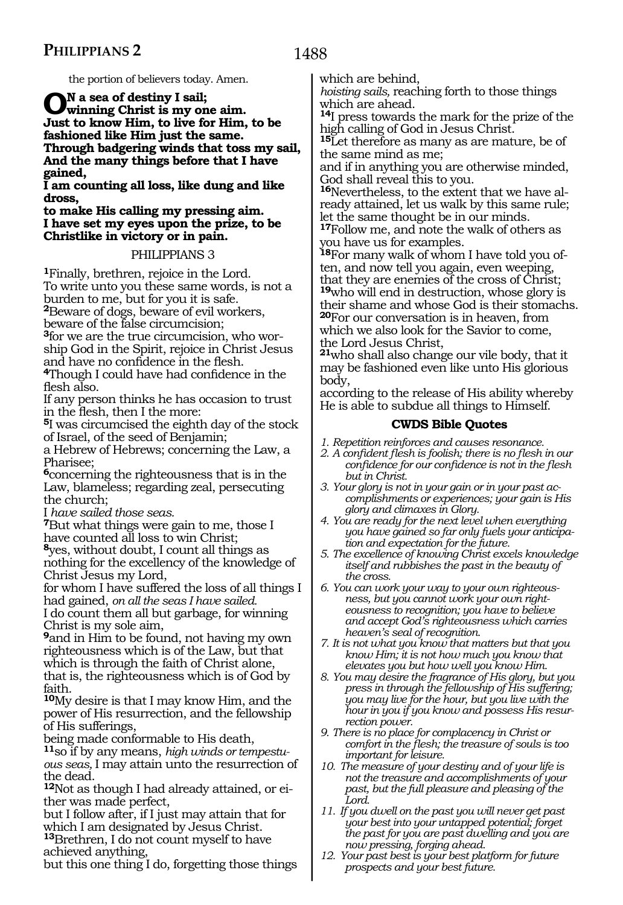the portion of believers today. Amen.

**On a sea of destiny I sail; winning Christ is my one aim. Just to know Him, to live for Him, to be fashioned like Him just the same. Through badgering winds that toss my sail, And the many things before that I have gained,** 

**I am counting all loss, like dung and like dross,** 

**to make His calling my pressing aim. I have set my eyes upon the prize, to be Christlike in victory or in pain.** 

## PHILIPPIANS 3

**<sup>1</sup>**Finally, brethren, rejoice in the Lord. To write unto you these same words, is not a burden to me, but for you it is safe.

**<sup>2</sup>**Beware of dogs, beware of evil workers,

beware of the false circumcision;

**3**for we are the true circumcision, who worship God in the Spirit, rejoice in Christ Jesus

<sup>4</sup>Though I could have had confidence in the flesh also.

If any person thinks he has occasion to trust in the flesh, then I the more:

**<sup>5</sup>**I was circumcised the eighth day of the stock of Israel, of the seed of Benjamin;

a Hebrew of Hebrews; concerning the Law, a Pharisee;

**<sup>6</sup>**concerning the righteousness that is in the Law, blameless; regarding zeal, persecuting the church;

I *have sailed those seas.* 

**<sup>7</sup>**But what things were gain to me, those I have counted all loss to win Christ; **<sup>8</sup>**yes, without doubt, I count all things as nothing for the excellency of the knowledge of Christ Jesus my Lord,

for whom I have suffered the loss of all things I had gained, *on all the seas I have sailed.*

I do count them all but garbage, for winning Christ is my sole aim,

**<sup>9</sup>**and in Him to be found, not having my own righteousness which is of the Law, but that which is through the faith of Christ alone, that is, the righteousness which is of God by faith.

**<sup>10</sup>**My desire is that I may know Him, and the power of His resurrection, and the fellowship of His sufferings,

being made conformable to His death,

**<sup>11</sup>**so if by any means, *high winds or tempestuous seas,* I may attain unto the resurrection of the dead.

**12**Not as though I had already attained, or either was made perfect,

but I follow after, if I just may attain that for which I am designated by Jesus Christ.

**<sup>13</sup>**Brethren, I do not count myself to have achieved anything,

but this one thing I do, forgetting those things

which are behind,

*hoisting sails,* reaching forth to those things which are ahead.

**<sup>14</sup>**I press towards the mark for the prize of the high calling of God in Jesus Christ.

**<sup>15</sup>**Let therefore as many as are mature, be of the same mind as me;

and if in anything you are otherwise minded, God shall reveal this to you.

**16**Nevertheless, to the extent that we have already attained, let us walk by this same rule; let the same thought be in our minds.

**<sup>17</sup>**Follow me, and note the walk of others as you have us for examples.

**18**For many walk of whom I have told you often, and now tell you again, even weeping, that they are enemies of the cross of Christ; **<sup>19</sup>**who will end in destruction, whose glory is their shame and whose God is their stomachs. **<sup>20</sup>**For our conversation is in heaven, from which we also look for the Savior to come, the Lord Jesus Christ,

**<sup>21</sup>**who shall also change our vile body, that it may be fashioned even like unto His glorious body,

according to the release of His ability whereby He is able to subdue all things to Himself.

## **CWDS Bible Quotes**

*1. Repetition reinforces and causes resonance.*

*2. A confident flesh is foolish; there is no flesh in our confidence for our confidence is not in the flesh but in Christ.*

*3. Your glory is not in your gain or in your past accomplishments or experiences; your gain is His glory and climaxes in Glory.*

- *4. You are ready for the next level when everything you have gained so far only fuels your anticipation and expectation for the future.*
- *5. The excellence of knowing Christ excels knowledge itself and rubbishes the past in the beauty of the cross.*

*6. You can work your way to your own righteousness, but you cannot work your own righteousness to recognition; you have to believe and accept God's righteousness which carries heaven's seal of recognition.*

*7. It is not what you know that matters but that you know Him; it is not how much you know that elevates you but how well you know Him.*

*8. You may desire the fragrance of His glory, but you press in through the fellowship of His suffering; you may live for the hour, but you live with the hour in you if you know and possess His resurrection power.*

*9. There is no place for complacency in Christ or comfort in the flesh; the treasure of souls is too important for leisure.*

*10. The measure of your destiny and of your life is not the treasure and accomplishments of your past, but the full pleasure and pleasing of the Lord.*

*11. If you dwell on the past you will never get past your best into your untapped potential; forget the past for you are past dwelling and you are now pressing, forging ahead.*

*12. Your past best is your best platform for future prospects and your best future.*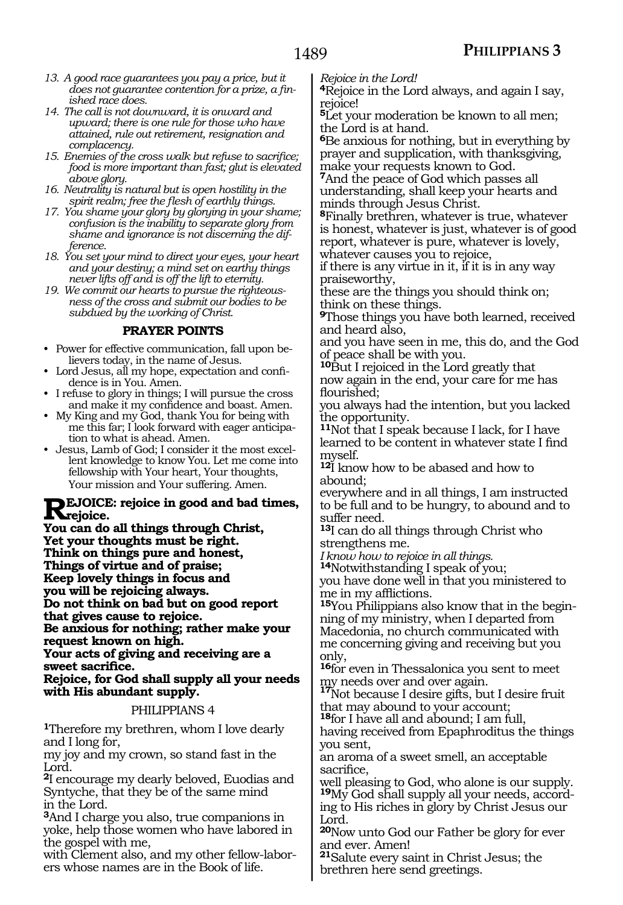- *13. A good race guarantees you pay a price, but it does not guarantee contention for a prize, a finished race does.*
- *14. The call is not downward, it is onward and upward; there is one rule for those who have attained, rule out retirement, resignation and complacency.*
- *15. Enemies of the cross walk but refuse to sacrifice; food is more important than fast; glut is elevated above glory.*
- *16. Neutrality is natural but is open hostility in the spirit realm; free the flesh of earthly things.*
- *17. You shame your glory by glorying in your shame; confusion is the inability to separate glory from shame and ignorance is not discerning the difference.*
- *18. You set your mind to direct your eyes, your heart and your destiny; a mind set on earthy things never lifts off and is off the lift to eternity.*
- *19. We commit our hearts to pursue the righteousness of the cross and submit our bodies to be subdued by the working of Christ.*

## **PRAYER POINTS**

- Power for effective communication, fall upon believers today, in the name of Jesus.
- Lord Jesus, all my hope, expectation and confidence is in You. Amen.
- I refuse to glory in things; I will pursue the cross and make it my confidence and boast. Amen.
- My King and my God, thank You for being with me this far; I look forward with eager anticipation to what is ahead. Amen.
- Jesus, Lamb of God; I consider it the most excellent knowledge to know You. Let me come into fellowship with Your heart, Your thoughts, Your mission and Your suffering. Amen.

# **REJOICE:** rejoice in good and bad times,<br> **Rejoice.**<br> **Value and a all things through Christ.**

**You can do all things through Christ, Yet your thoughts must be right. Think on things pure and honest, Things of virtue and of praise; Keep lovely things in focus and you will be rejoicing always. Do not think on bad but on good report that gives cause to rejoice. Be anxious for nothing; rather make your request known on high. Your acts of giving and receiving are a sweet sacrifice. Rejoice, for God shall supply all your needs with His abundant supply.** 

# PHILIPPIANS 4

**<sup>1</sup>**Therefore my brethren, whom I love dearly and I long for,

my joy and my crown, so stand fast in the Lord.

**<sup>2</sup>**I encourage my dearly beloved, Euodias and Syntyche, that they be of the same mind in the Lord.

**<sup>3</sup>**And I charge you also, true companions in yoke, help those women who have labored in the gospel with me,

with Clement also, and my other fellow-labor-<br>ers whose names are in the Book of life.

*Rejoice in the Lord!* 

**<sup>4</sup>**Rejoice in the Lord always, and again I say, rejoice!

**<sup>5</sup>**Let your moderation be known to all men; the Lord is at hand.

**<sup>6</sup>**Be anxious for nothing, but in everything by prayer and supplication, with thanksgiving, make your requests known to God.

**<sup>7</sup>**And the peace of God which passes all understanding, shall keep your hearts and minds through Jesus Christ.

**<sup>8</sup>**Finally brethren, whatever is true, whatever is honest, whatever is just, whatever is of good report, whatever is pure, whatever is lovely, whatever causes you to rejoice,

if there is any virtue in it, if it is in any way praiseworthy,

these are the things you should think on; think on these things.

**<sup>9</sup>**Those things you have both learned, received and heard also,

and you have seen in me, this do, and the God of peace shall be with you.

**<sup>10</sup>**But I rejoiced in the Lord greatly that now again in the end, your care for me has flourished;

you always had the intention, but you lacked the opportunity.

**<sup>11</sup>**Not that I speak because I lack, for I have learned to be content in whatever state I find myself.

**<sup>12</sup>**I know how to be abased and how to abound;

everywhere and in all things, I am instructed to be full and to be hungry, to abound and to suffer need.

**<sup>13</sup>**I can do all things through Christ who strengthens me.

*I know how to rejoice in all things.*

**<sup>14</sup>**Notwithstanding I speak of you;

you have done well in that you ministered to me in my afflictions.

**15**You Philippians also know that in the beginning of my ministry, when I departed from Macedonia, no church communicated with me concerning giving and receiving but you only,

**<sup>16</sup>**for even in Thessalonica you sent to meet

my needs over and over again. **<sup>17</sup>**Not because I desire gifts, but I desire fruit that may abound to your account;

**<sup>18</sup>**for I have all and abound; I am full,

having received from Epaphroditus the things you sent,

an aroma of a sweet smell, an acceptable sacrifice,

well pleasing to God, who alone is our supply. **19**My God shall supply all your needs, according to His riches in glory by Christ Jesus our Lord.

**<sup>20</sup>**Now unto God our Father be glory for ever and ever. Amen!

**<sup>21</sup>**Salute every saint in Christ Jesus; the brethren here send greetings.